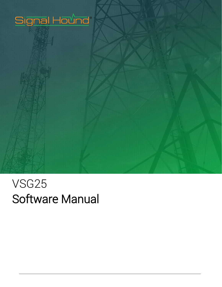

## VSG25 Software Manual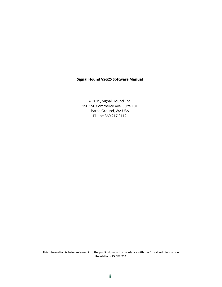#### **Signal Hound VSG25 Software Manual**

 2019, Signal Hound, Inc. 1502 SE Commerce Ave, Suite 101 Battle Ground, WA USA Phone 360.217.0112

This information is being released into the public domain in accordance with the Export Administration Regulations 15 CFR 734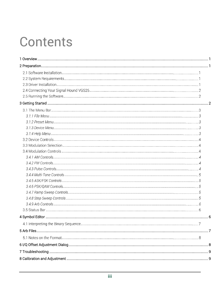# Contents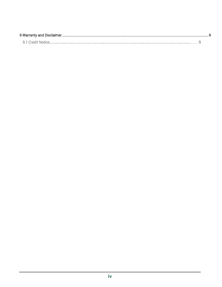| 9 Warranty and Disclaimer. |  |
|----------------------------|--|
| 9 T Credit Notice          |  |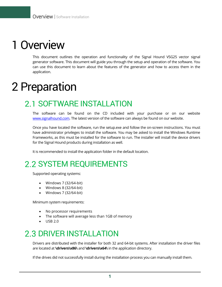## <span id="page-4-0"></span>1 Overview

This document outlines the operation and functionality of the Signal Hound VSG25 vector signal generator software. This document will guide you through the setup and operation of the software. You can use this document to learn about the features of the generator and how to access them in the application.

## <span id="page-4-1"></span>2 Preparation

### 2.1 SOFTWARE INSTALLATION

The software can be found on the CD included with your purchase or on our website [www.signalhound.com.](http://www.signalhound.com/) The latest version of the software can always be found on our website.

Once you have located the software, run the setup.exe and follow the on-screen instructions. You must have administrator privileges to install the software. You may be asked to install the Windows Runtime Frameworks, as this must be installed for the software to run. The installer will install the device drivers for the Signal Hound products during installation as well.

It is recommended to install the application folder in the default location.

### 2.2 SYSTEM REQUIREMENTS

Supported operating systems:

- Windows 7 (32/64-bit)
- Windows 8 (32/64-bit)
- $\bullet$  Windows 7 (32/64-bit)

Minimum system requirements:

- No processor requirements
- The software will average less than 1GB of memory
- USB 2.0

### 2.3 DRIVER INSTALLATION

Drivers are distributed with the installer for both 32 and 64-bit systems. After installation the driver files are located at **\drivers\x86\** and **\drivers\x64\** in the application directory.

If the drives did not successfully install during the installation process you can manually install them.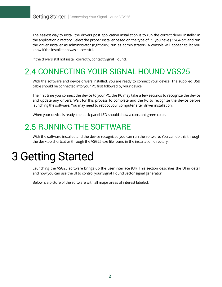The easiest way to install the drivers post application installation is to run the correct driver installer in the application directory. Select the proper installer based on the type of PC you have (32/64-bit) and run the driver installer as administrator (right-click, run as administrator). A console will appear to let you know if the installation was successful.

If the drivers still not install correctly, contact Signal Hound.

## 2.4 CONNECTING YOUR SIGNAL HOUND VGS25

With the software and device drivers installed, you are ready to connect your device. The supplied USB cable should be connected into your PC first followed by your device.

The first time you connect the device to your PC, the PC may take a few seconds to recognize the device and update any drivers. Wait for this process to complete and the PC to recognize the device before launching the software. You may need to reboot your computer after driver installation.

When your device is ready, the back-panel LED should show a constant green color.

### 2.5 RUNNING THE SOFTWARE

With the software installed and the device recognized you can run the software. You can do this through the desktop shortcut or through the VSG25.exe file found in the installation directory.

## <span id="page-5-0"></span>3 Getting Started

Launching the VSG25 software brings up the user interface (UI). This section describes the UI in detail and how you can use the UI to control your Signal Hound vector signal generator.

Below is a picture of the software with all major areas of interest labeled: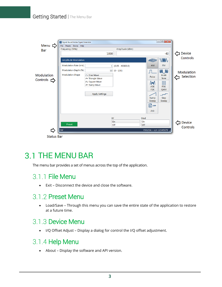#### Getting Started | The Menu Bar



### **3.1 THE MENU BAR**

The menu bar provides a set of menus across the top of the application.

#### 3.1.1 File Menu

• Exit – Disconnect the device and close the software.

#### 3.1.2 Preset Menu

• Load/Save – Through this menu you can save the entire state of the application to restore at a future time.

#### 3.1.3 Device Menu

• I/Q Offset Adjust – Display a dialog for control the I/Q offset adjustment.

#### 3.1.4 Help Menu

• About – Display the software and API version.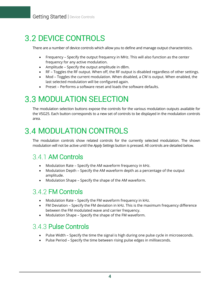## **3.2 DEVICE CONTROLS**

There are a number of device controls which allow you to define and manage output characteristics.

- Frequency Specify the output frequency in MHz. This will also function as the center frequency for any active modulation.
- Amplitude Specify the output amplitude in dBm.
- RF Toggles the RF output. When off, the RF output is disabled regardless of other settings.
- Mod Toggles the current modulation. When disabled, a CW is output. When enabled, the last selected modulation will be configured again.
- Preset Performs a software reset and loads the software defaults.

## **3.3 MODULATION SELECTION**

The modulation selection buttons expose the controls for the various modulation outputs available for the VSG25. Each button corresponds to a new set of controls to be displayed in the modulation controls area.

## **3.4 MODULATION CONTROLS**

The modulation controls show related controls for the currently selected modulation. The shown modulation will not be active until the *Apply Settings* button is pressed. All controls are detailed below.

### 3.4.1 AM Controls

- Modulation Rate Specify the AM waveform frequency in kHz.
- Modulation Depth Specify the AM waveform depth as a percentage of the output amplitude.
- Modulation Shape Specify the shape of the AM waveform.

#### 3.4.2 FM Controls

- Modulation Rate Specify the FM waveform frequency in kHz.
- FM Deviation Specify the FM deviation in kHz. This is the maximum frequency difference between the FM modulated wave and carrier frequency.
- Modulation Shape Specify the shape of the FM waveform.

### 3.4.3 Pulse Controls

- Pulse Width Specify the time the signal is high during one pulse cycle in microseconds.
- Pulse Period Specify the time between rising pulse edges in milliseconds.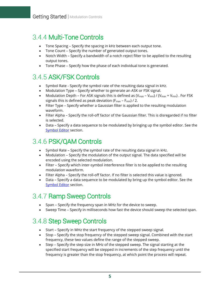#### 3.4.4 Multi-Tone Controls

- Tone Spacing Specify the spacing in kHz between each output tone.
- Tone Count Specify the number of generated output tones.
- Notch Width Specify a bandwidth of a notch reject filter to be applied to the resulting output tones.
- Tone Phase Specify how the phase of each individual tone is generated.

### 3.4.5 ASK/FSK Controls

- Symbol Rate Specify the symbol rate of the resulting data signal in kHz.
- Modulation Type Specify whether to generate an ASK or FSK signal.
- Modulation Depth For ASK signals this is defined as  $(V_{max} V_{min}) / (V_{max} + V_{min})$ . For FSK signals this is defined as peak deviation ( $F_{max}$  –  $F_{min}$ ) / 2.
- Filter Type Specify whether a Gaussian filter is applied to the resulting modulation waveform.
- Filter Alpha Specify the roll-off factor of the Gaussian filter. This is disregarded if no filter is selected.
- Data Specify a data sequence to be modulated by bringing up the symbol editor. See the [Symbol Editor](#page-9-0) section.

#### 3.4.6 PSK/QAM Controls

- Symbol Rate Specify the symbol rate of the resulting data signal in kHz.
- Modulation Specify the modulation of the output signal. The data specified will be encoded using the selected modulation.
- Filter Specify which inter-symbol interference filter is to be applied to the resulting modulation waveform.
- Filter Alpha Specify the roll-off factor. If no filter is selected this value is ignored.
- Data Specify a data sequence to be modulated by bring up the symbol editor. See the **[Symbol Editor](#page-9-0) section.**

#### 3.4.7 Ramp Sweep Controls

- Span Specify the frequency span in MHz for the device to sweep.
- Sweep Time Specify in milliseconds how fast the device should sweep the selected span.

#### 3.4.8 Step Sweep Controls

- Start Specify in MHz the start frequency of the stepped sweep signal.
- Stop Specify the stop frequency of the stepped sweep signal. Combined with the start frequency, these two values define the range of the stepped sweep.
- Step Specify the step size in MHz of the stepped sweep. The signal starting at the specified start frequency will be stepped in increments of the step frequency until the frequency is greater than the stop frequency, at which point the process will repeat.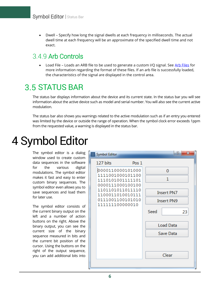• Dwell – Specify how long the signal dwells at each frequency in milliseconds. The actual dwell time at each frequency will be an approximate of the specified dwell time and not exact.

#### 349 Arb Controls

• Load File – Loads an ARB file to be used to generate a custom I/Q signal. See [Arb Files](#page-10-1) for more information regarding the format of these files. If an arb file is successfully loaded, the characteristics of the signal are displayed in the control area.

### **3.5 STATUS BAR**

The status bar displays information about the device and its current state. In the status bar you will see information about the active device such as model and serial number. You will also see the current active modulation.

The status bar also shows you warnings related to the active modulation such as if an entry you entered was limited by the device or outside the range of operation. When the symbol clock error exceeds 1ppm from the requested value, a warning is displayed in the status bar.

## <span id="page-9-0"></span>4 Symbol Editor

The symbol editor is a dialog window used to create custom data sequences in the software for the various digital modulations. The symbol editor makes it fast and easy to enter custom binary sequences. The symbol editor even allows you to save sequences and load them for later use.

The symbol editor consists of the current binary output on the left and a number of action buttons on the right. Above the binary output, you can see the current size of the binary sequence measured in bits and the current bit position of the cursor. Using the buttons on the right of the output sequence, you can add additional bits into

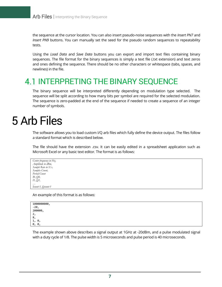the sequence at the cursor location. You can also insert pseudo-noise sequences with the *Insert PN7* and *Insert PN9* buttons. You can manually set the seed for the pseudo random sequences to repeatability tests.

Using the *Load Data* and *Save Data* buttons you can export and import text files containing binary sequences. The file format for the binary sequences is simply a text file (.txt extension) and text zeros and ones defining the sequence. There should be no other characters or whitespace (tabs, spaces, and newlines) in the file.

### <span id="page-10-1"></span>4.1 INTERPRETING THE BINARY SEQUENCE

The binary sequence will be interpreted differently depending on modulation type selected. The sequence will be split according to how many bits per symbol are required for the selected modulation. The sequence is zero-padded at the end of the sequence if needed to create a sequence of an integer number of symbols.

## <span id="page-10-0"></span>5 Arb Files

The software allows you to load custom I/Q arb files which fully define the device output. The files follow a standard format which is described below.

The file should have the extension .csv. It can be easily edited in a spreadsheet application such as Microsoft Excel or any basic text editor. The format is as follows:

*Center frequency in Hz, Amplitude in dBm, Sample Rate in S/s, Samples Count, Period Count I0, Q0, I1, Q1, … Icount-1, Qcount-1*

An example of this format is as follows:

| 1000000000,<br>-20,<br>200000, |  |
|--------------------------------|--|
|                                |  |
|                                |  |
| ر ∠                            |  |
| 8,                             |  |
| 0,<br>رلك                      |  |
| 0,<br>0,                       |  |

The example shown above describes a signal output at 1GHz at -20dBm, and a pulse modulated signal with a duty cycle of 1/8. The pulse width is 5 microseconds and pulse period is 40 microseconds.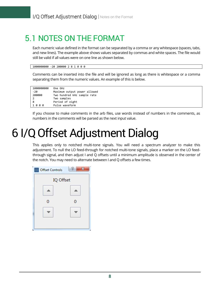### 5.1 NOTES ON THE FORMAT

Each numeric value defined in the format can be separated by a comma or any whitespace (spaces, tabs, and new lines). The example above shows values separated by commas and white spaces. The file would still be valid if all values were on one line as shown below.

```
1000000000 -20 200000 2 8 1 0 0 0
```
Comments can be inserted into the file and will be ignored as long as there is whitespace or a comma separating them from the numeric values. An example of this is below.

| 1000000000 | One GHz                      |  |
|------------|------------------------------|--|
| -20        | Maximum output power allowed |  |
| 200000     | Two hundred kHz sample rate  |  |
| 2          | Two samples                  |  |
| 8          | Period of eight              |  |
| 1000       | Pulse waveform               |  |

If you choose to make comments in the arb files, use words instead of numbers in the comments, as numbers in the comments will be parsed as the next input value.

## <span id="page-11-0"></span>6 I/Q Offset Adjustment Dialog

This applies only to notched multi-tone signals. You will need a spectrum analyzer to make this adjustment. To null the LO feed-through for notched multi-tone signals, place a marker on the LO feedthrough signal, and then adjust I and Q offsets until a minimum amplitude is observed in the center of the notch. You may need to alternate between I and Q offsets a few times.

| 噩<br><b>Offset Controls</b> | P<br>Ж |  |
|-----------------------------|--------|--|
| IQ Offset                   |        |  |
|                             |        |  |
| Ω                           | 0      |  |
|                             |        |  |
|                             |        |  |